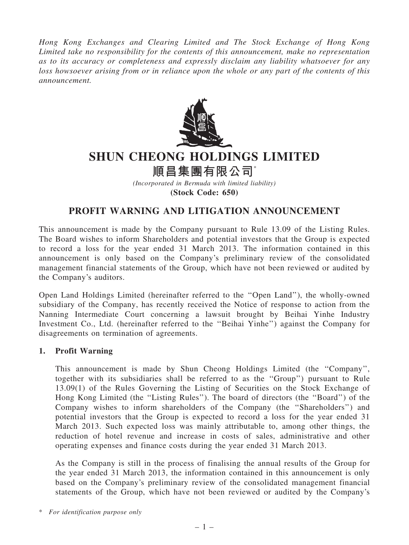Hong Kong Exchanges and Clearing Limited and The Stock Exchange of Hong Kong Limited take no responsibility for the contents of this announcement, make no representation as to its accuracy or completeness and expressly disclaim any liability whatsoever for any loss howsoever arising from or in reliance upon the whole or any part of the contents of this announcement.



## SHUN CHEONG HOLDINGS LIMITED

順昌集團有限公司\*

(Incorporated in Bermuda with limited liability) (Stock Code: 650)

## PROFIT WARNING AND LITIGATION ANNOUNCEMENT

This announcement is made by the Company pursuant to Rule 13.09 of the Listing Rules. The Board wishes to inform Shareholders and potential investors that the Group is expected to record a loss for the year ended 31 March 2013. The information contained in this announcement is only based on the Company's preliminary review of the consolidated management financial statements of the Group, which have not been reviewed or audited by the Company's auditors.

Open Land Holdings Limited (hereinafter referred to the ''Open Land''), the wholly-owned subsidiary of the Company, has recently received the Notice of response to action from the Nanning Intermediate Court concerning a lawsuit brought by Beihai Yinhe Industry Investment Co., Ltd. (hereinafter referred to the ''Beihai Yinhe'') against the Company for disagreements on termination of agreements.

## 1. Profit Warning

This announcement is made by Shun Cheong Holdings Limited (the ''Company'', together with its subsidiaries shall be referred to as the ''Group'') pursuant to Rule 13.09(1) of the Rules Governing the Listing of Securities on the Stock Exchange of Hong Kong Limited (the ''Listing Rules''). The board of directors (the ''Board'') of the Company wishes to inform shareholders of the Company (the ''Shareholders'') and potential investors that the Group is expected to record a loss for the year ended 31 March 2013. Such expected loss was mainly attributable to, among other things, the reduction of hotel revenue and increase in costs of sales, administrative and other operating expenses and finance costs during the year ended 31 March 2013.

As the Company is still in the process of finalising the annual results of the Group for the year ended 31 March 2013, the information contained in this announcement is only based on the Company's preliminary review of the consolidated management financial statements of the Group, which have not been reviewed or audited by the Company's

\* For identification purpose only